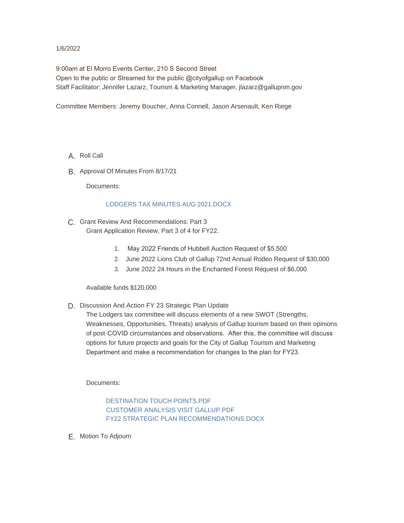#### 1/6/2022

9:00am at El Morro Events Center, 210 S Second Street Open to the public or Streamed for the public @cityofgallup on Facebook Staff Facilitator: Jennifer Lazarz, Tourism & Marketing Manager, jlazarz@gallupnm.gov

Committee Members: Jeremy Boucher, Anna Connell, Jason Arsenault, Ken Riege

- A. Roll Call
- B. Approval Of Minutes From 8/17/21

Documents:

#### LODGERS TAX MINUTES AUG 2021.DOCX

- C. Grant Review And Recommendations: Part 3 Grant Application Review, Part 3 of 4 for FY22.
	- 1. May 2022 Friends of Hubbell Auction Request of \$5,500
	- 2. June 2022 Lions Club of Gallup 72nd Annual Rodeo Request of \$30,000
	- 3. June 2022 24 Hours in the Enchanted Forest Request of \$6,000

Available funds \$120,000

D. Discussion And Action FY 23 Strategic Plan Update

The Lodgers tax committee will discuss elements of a new SWOT (Strengths, Weaknesses, Opportunities, Threats) analysis of Gallup tourism based on their opinions of post-COVID circumstances and observations. After this, the committee will discuss options for future projects and goals for the City of Gallup Tourism and Marketing Department and make a recommendation for changes to the plan for FY23.

Documents:

DESTINATION TOUCH POINTS.PDF CUSTOMER ANALYSIS VISIT GALLUP.PDF FY22 STRATEGIC PLAN RECOMMENDATIONS.DOCX

E. Motion To Adjourn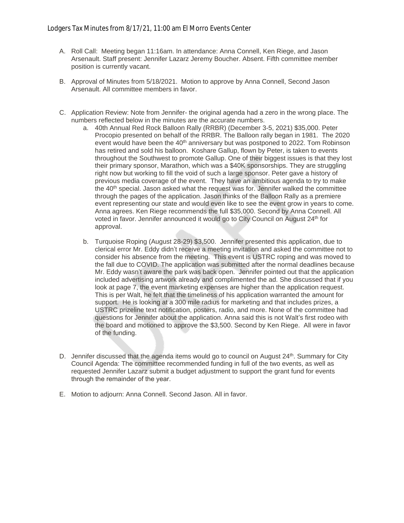- A. Roll Call: Meeting began 11:16am. In attendance: Anna Connell, Ken Riege, and Jason Arsenault. Staff present: Jennifer Lazarz Jeremy Boucher. Absent. Fifth committee member position is currently vacant.
- B. Approval of Minutes from 5/18/2021. Motion to approve by Anna Connell, Second Jason Arsenault. All committee members in favor.
- C. Application Review: Note from Jennifer- the original agenda had a zero in the wrong place. The numbers reflected below in the minutes are the accurate numbers.
	- a. 40th Annual Red Rock Balloon Rally (RRBR) (December 3-5, 2021) \$35,000. Peter Procopio presented on behalf of the RRBR. The Balloon rally began in 1981. The 2020 event would have been the  $40<sup>th</sup>$  anniversary but was postponed to 2022. Tom Robinson has retired and sold his balloon. Koshare Gallup, flown by Peter, is taken to events throughout the Southwest to promote Gallup. One of their biggest issues is that they lost their primary sponsor, Marathon, which was a \$40K sponsorships. They are struggling right now but working to fill the void of such a large sponsor. Peter gave a history of previous media coverage of the event. They have an ambitious agenda to try to make the 40<sup>th</sup> special. Jason asked what the request was for. Jennifer walked the committee through the pages of the application. Jason thinks of the Balloon Rally as a premiere event representing our state and would even like to see the event grow in years to come. Anna agrees. Ken Riege recommends the full \$35,000. Second by Anna Connell. All voted in favor. Jennifer announced it would go to City Council on August 24<sup>th</sup> for approval.
	- b. Turquoise Roping (August 28-29) \$3,500. Jennifer presented this application, due to clerical error Mr. Eddy didn't receive a meeting invitation and asked the committee not to consider his absence from the meeting. This event is USTRC roping and was moved to the fall due to COVID. The application was submitted after the normal deadlines because Mr. Eddy wasn't aware the park was back open. Jennifer pointed out that the application included advertising artwork already and complimented the ad. She discussed that if you look at page 7, the event marketing expenses are higher than the application request. This is per Walt, he felt that the timeliness of his application warranted the amount for support. He is looking at a 300 mile radius for marketing and that includes prizes, a USTRC prizeline text notification, posters, radio, and more. None of the committee had questions for Jennifer about the application. Anna said this is not Walt's first rodeo with the board and motioned to approve the \$3,500. Second by Ken Riege. All were in favor of the funding.
- D. Jennifer discussed that the agenda items would go to council on August 24<sup>th</sup>. Summary for City Council Agenda: The committee recommended funding in full of the two events, as well as requested Jennifer Lazarz submit a budget adjustment to support the grant fund for events through the remainder of the year.
- E. Motion to adjourn: Anna Connell. Second Jason. All in favor.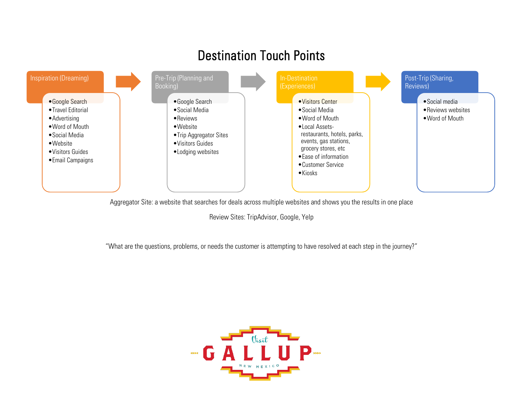

Aggregator Site: a website that searches for deals across multiple websites and shows you the results in one place

Review Sites: TripAdvisor, Google, Yelp

"What are the questions, problems, or needs the customer is attempting to have resolved at each step in the journey?"

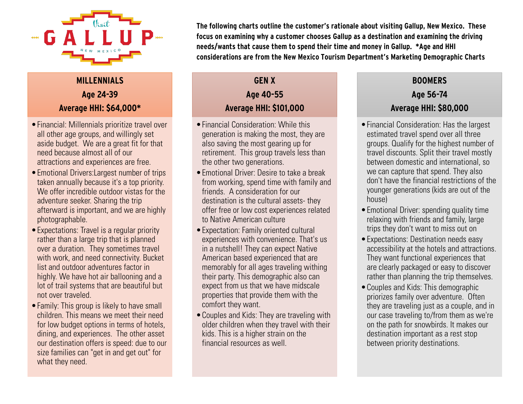

# **MILLENNIALS Age 24-39 Average HHI: \$64,000\***

- •Financial: Millennials prioritize travel over all other age groups, and willingly set aside budget. We are a great fit for that need because almost all of our attractions and experiences are free.
- •Emotional Drivers:Largest number of trips taken annually because it's a top priority. We offer incredible outdoor vistas for the adventure seeker. Sharing the trip afterward is important, and we are highly photographable.
- •Expectations: Travel is a regular priority rather than a large trip that is planned over a duration. They sometimes travel with work, and need connectivity. Bucket list and outdoor adventures factor in highly. We have hot air ballooning and a lot of trail systems that are beautiful but not over traveled.
- Family: This group is likely to have small children. This means we meet their need for low budget options in terms of hotels, dining, and experiences. The other asset our destination offers is speed: due to our size families can "get in and get out" for what they need.

**The following charts outline the customer's rationale about visiting Gallup, New Mexico. These focus on examining why a customer chooses Gallup as a destination and examining the driving needs/wants that cause them to spend their time and money in Gallup. \*Age and HHI considerations are from the New Mexico Tourism Department's Marketing Demographic Charts**

## **GEN X Age 40-55 Average HHI: \$101,000**

- •Financial Consideration: While this generation is making the most, they are also saving the most gearing up for retirement. This group travels less than the other two generations.
- •Emotional Driver: Desire to take a break from working, spend time with family and friends. A consideration for our destination is the cultural assets- they offer free or low cost experiences related to Native American culture
- •Expectation: Family oriented cultural experiences with convenience. That's us in a nutshell! They can expect Native American based experienced that are memorably for all ages traveling withing their party. This demographic also can expect from us that we have midscale properties that provide them with the comfort they want.
- •Couples and Kids: They are traveling with older children when they travel with their kids. This is a higher strain on the financial resources as well.

## **BOOMERS Age 56-74 Average HHI: \$80,000**

- •Financial Consideration: Has the largest estimated travel spend over all three groups. Qualify for the highest number of travel discounts. Split their travel mostly between domestic and international, so we can capture that spend. They also don't have the financial restrictions of the younger generations (kids are out of the house)
- •Emotional Driver: spending quality time relaxing with friends and family, large trips they don't want to miss out on
- •Expectations: Destination needs easy accessibility at the hotels and attractions. They want functional experiences that are clearly packaged or easy to discover rather than planning the trip themselves.
- •Couples and Kids: This demographic priorizes family over adventure. Often they are traveling just as a couple, and in our case traveling to/from them as we're on the path for snowbirds. It makes our destination important as a rest stop between priority destinations.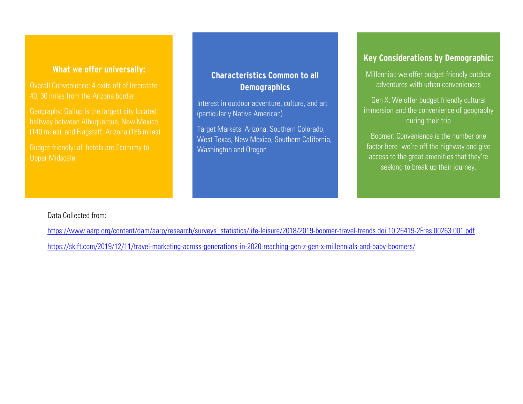### **What we offer universally:**

Overall Convenience: 4 exits off of Interstate 40, 30 miles from the Arizona border.

halfway between Albuquerque, New Mexico

Upper Midscale

## **Characteristics Common to all Demographics**

Interest in outdoor adventure, culture, and art (particularly Native American)

Target Markets: Arizona, Southern Colorado, West Texas, New Mexico, Southern California, Washington and Oregon

## **Key Considerations by Demographic:**

Millennial: we offer budget friendly outdoor adventures with urban conveniences

Gen X: We offer budget friendly cultural immersion and the convenience of geography during their trip

Boomer: Convenience is the number one factor here- we're off the highway and give access to the great amenities that they're seeking to break up their journey.

#### Data Collected from:

[https://www.aarp.org/content/dam/aarp/research/surveys\\_statistics/life-leisure/2018/2019-boomer-travel-trends.doi.10.26419-2Fres.00263.001.pdf](https://www.aarp.org/content/dam/aarp/research/surveys_statistics/life-leisure/2018/2019-boomer-travel-trends.doi.10.26419-2Fres.00263.001.pdf)

<https://skift.com/2019/12/11/travel-marketing-across-generations-in-2020-reaching-gen-z-gen-x-millennials-and-baby-boomers/>